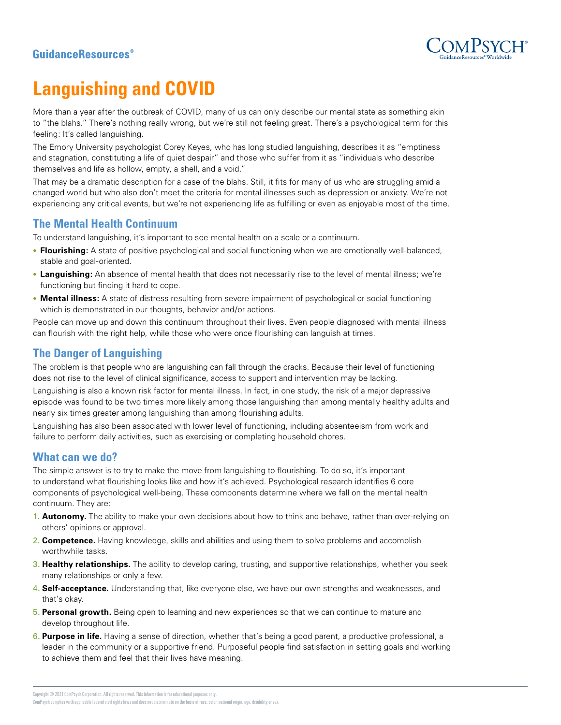

# **Languishing and COVID**

More than a year after the outbreak of COVID, many of us can only describe our mental state as something akin to "the blahs." There's nothing really wrong, but we're still not feeling great. There's a psychological term for this feeling: It's called languishing.

The Emory University psychologist Corey Keyes, who has long studied languishing, describes it as "emptiness and stagnation, constituting a life of quiet despair" and those who suffer from it as "individuals who describe themselves and life as hollow, empty, a shell, and a void."

That may be a dramatic description for a case of the blahs. Still, it fits for many of us who are struggling amid a changed world but who also don't meet the criteria for mental illnesses such as depression or anxiety. We're not experiencing any critical events, but we're not experiencing life as fulfilling or even as enjoyable most of the time.

## **The Mental Health Continuum**

To understand languishing, it's important to see mental health on a scale or a continuum.

- **Flourishing:** A state of positive psychological and social functioning when we are emotionally well-balanced, stable and goal-oriented.
- **Languishing:** An absence of mental health that does not necessarily rise to the level of mental illness; we're functioning but finding it hard to cope.
- **Mental illness:** A state of distress resulting from severe impairment of psychological or social functioning which is demonstrated in our thoughts, behavior and/or actions.

People can move up and down this continuum throughout their lives. Even people diagnosed with mental illness can flourish with the right help, while those who were once flourishing can languish at times.

## **The Danger of Languishing**

The problem is that people who are languishing can fall through the cracks. Because their level of functioning does not rise to the level of clinical significance, access to support and intervention may be lacking.

Languishing is also a known risk factor for mental illness. In fact, in one study, the risk of a major depressive episode was found to be two times more likely among those languishing than among mentally healthy adults and nearly six times greater among languishing than among flourishing adults.

Languishing has also been associated with lower level of functioning, including absenteeism from work and failure to perform daily activities, such as exercising or completing household chores.

## **What can we do?**

The simple answer is to try to make the move from languishing to flourishing. To do so, it's important to understand what flourishing looks like and how it's achieved. Psychological research identifies 6 core components of psychological well-being. These components determine where we fall on the mental health continuum. They are:

- 1. **Autonomy.** The ability to make your own decisions about how to think and behave, rather than over-relying on others' opinions or approval.
- 2. **Competence.** Having knowledge, skills and abilities and using them to solve problems and accomplish worthwhile tasks.
- 3. **Healthy relationships.** The ability to develop caring, trusting, and supportive relationships, whether you seek many relationships or only a few.
- 4. **Self-acceptance.** Understanding that, like everyone else, we have our own strengths and weaknesses, and that's okay.
- 5. **Personal growth.** Being open to learning and new experiences so that we can continue to mature and develop throughout life.
- 6. **Purpose in life.** Having a sense of direction, whether that's being a good parent, a productive professional, a leader in the community or a supportive friend. Purposeful people find satisfaction in setting goals and working to achieve them and feel that their lives have meaning.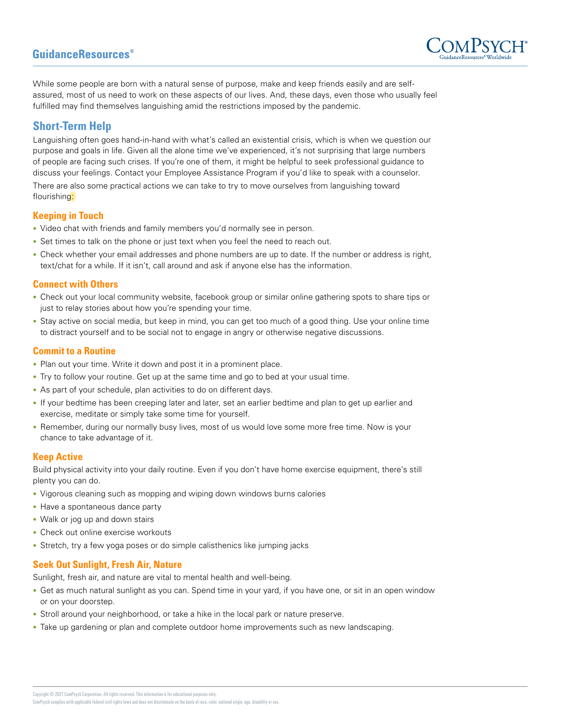## **GuidanceResources**<sup>®</sup>



While some people are born with a natural sense of purpose, make and keep friends easily and are selfassured, most of us need to work on these aspects of our lives. And, these days, even those who usually feel fulfilled may find themselves languishing amid the restrictions imposed by the pandemic.

## **Short-Term Help**

Languishing often goes hand-in-hand with what's called an existential crisis, which is when we question our purpose and goals in life. Given all the alone time we've experienced, it's not surprising that large numbers of people are facing such crises. If you're one of them, it might be helpful to seek professional guidance to discuss your feelings. Contact your Employee Assistance Program if you'd like to speak with a counselor.

There are also some practical actions we can take to try to move ourselves from languishing toward flourishing:

#### **Keeping in Touch**

- Video chat with friends and family members you'd normally see in person.
- Set times to talk on the phone or just text when you feel the need to reach out.
- Check whether your email addresses and phone numbers are up to date. If the number or address is right, text/chat for a while. If it isn't, call around and ask if anyone else has the information.

#### **Connect with Others**

- Check out your local community website, facebook group or similar online gathering spots to share tips or just to relay stories about how you're spending your time.
- Stay active on social media, but keep in mind, you can get too much of a good thing. Use your online time to distract yourself and to be social not to engage in angry or otherwise negative discussions.

#### **Commit to a Routine**

- Plan out your time. Write it down and post it in a prominent place.
- Try to follow your routine. Get up at the same time and go to bed at your usual time.
- As part of your schedule, plan activities to do on different days.
- If your bedtime has been creeping later and later, set an earlier bedtime and plan to get up earlier and exercise, meditate or simply take some time for yourself.
- Remember, during our normally busy lives, most of us would love some more free time. Now is your chance to take advantage of it.

#### **Keep Active**

Build physical activity into your daily routine. Even if you don't have home exercise equipment, there's still plenty you can do.

- Vigorous cleaning such as mopping and wiping down windows burns calories
- Have a spontaneous dance party
- Walk or jog up and down stairs
- Check out online exercise workouts
- Stretch, try a few yoga poses or do simple calisthenics like jumping jacks

#### **Seek Out Sunlight, Fresh Air, Nature**

Sunlight, fresh air, and nature are vital to mental health and well-being.

- Get as much natural sunlight as you can. Spend time in your yard, if you have one, or sit in an open window or on your doorstep.
- Stroll around your neighborhood, or take a hike in the local park or nature preserve.
- Take up gardening or plan and complete outdoor home improvements such as new landscaping.